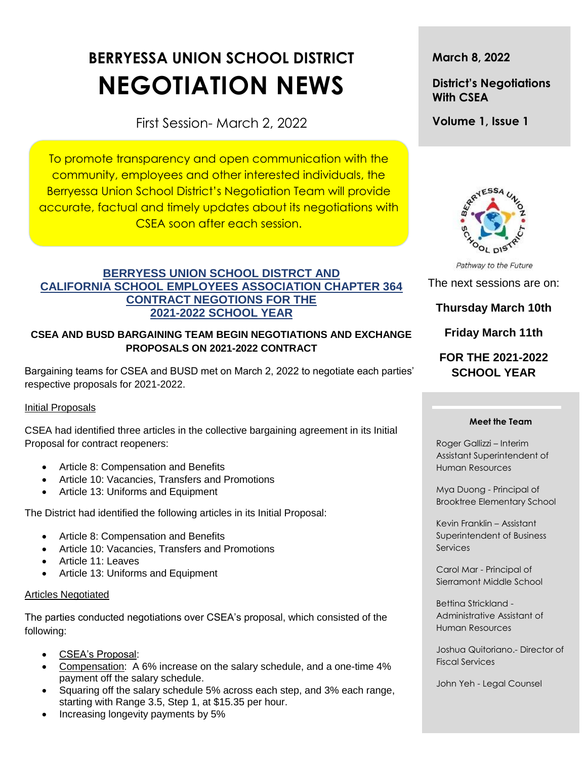# **BERRYESSA UNION SCHOOL DISTRICT NEGOTIATION NEWS**

First Session- March 2, 2022

To promote transparency and open communication with the community, employees and other interested individuals, the Berryessa Union School District's Negotiation Team will provide accurate, factual and timely updates about its negotiations with CSEA soon after each session.

## **BERRYESS UNION SCHOOL DISTRCT AND CALIFORNIA SCHOOL EMPLOYEES ASSOCIATION CHAPTER 364 CONTRACT NEGOTIONS FOR THE 2021-2022 SCHOOL YEAR**

## **CSEA AND BUSD BARGAINING TEAM BEGIN NEGOTIATIONS AND EXCHANGE PROPOSALS ON 2021-2022 CONTRACT**

Bargaining teams for CSEA and BUSD met on March 2, 2022 to negotiate each parties' respective proposals for 2021-2022.

## Initial Proposals

CSEA had identified three articles in the collective bargaining agreement in its Initial Proposal for contract reopeners:

- Article 8: Compensation and Benefits
- Article 10: Vacancies, Transfers and Promotions
- Article 13: Uniforms and Equipment

The District had identified the following articles in its Initial Proposal:

- Article 8: Compensation and Benefits
- Article 10: Vacancies, Transfers and Promotions
- Article 11: Leaves
- Article 13: Uniforms and Equipment

### Articles Negotiated

The parties conducted negotiations over CSEA's proposal, which consisted of the following:

- CSEA's Proposal:
- Compensation: A 6% increase on the salary schedule, and a one-time 4% payment off the salary schedule.
- Squaring off the salary schedule 5% across each step, and 3% each range, starting with Range 3.5, Step 1, at \$15.35 per hour.
- Increasing longevity payments by 5%

**March 8, 2022**

**District's Negotiations With CSEA**

**Volume 1, Issue 1**



Pathway to the Future

The next sessions are on:

## **Thursday March 10th**

**Friday March 11th**

## **FOR THE 2021-2022 SCHOOL YEAR**

#### **Meet the Team**

Roger Gallizzi – Interim Assistant Superintendent of Human Resources

Mya Duong - Principal of Brooktree Elementary School

Kevin Franklin – Assistant Superintendent of Business **Services** 

Carol Mar - Principal of Sierramont Middle School

Bettina Strickland - Administrative Assistant of Human Resources

Joshua Quitoriano.- Director of Fiscal Services

t

John Yeh - Legal Counsel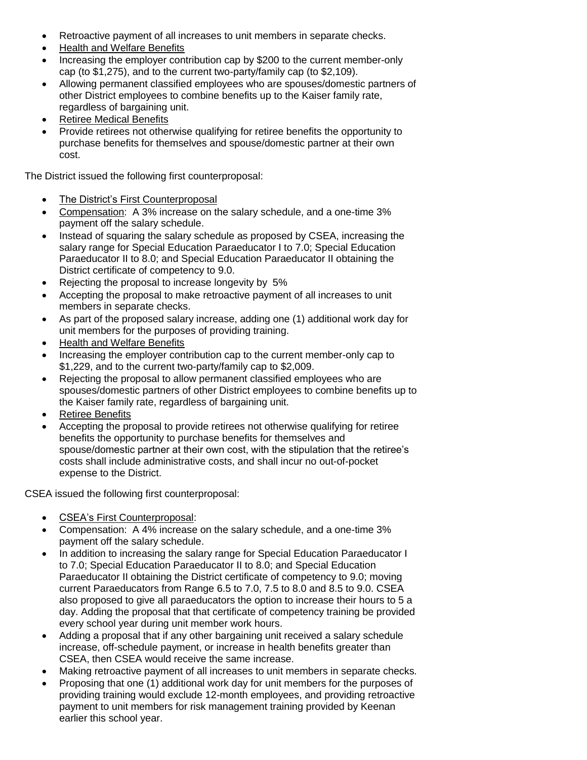- Retroactive payment of all increases to unit members in separate checks.
- Health and Welfare Benefits
- Increasing the employer contribution cap by \$200 to the current member-only cap (to \$1,275), and to the current two-party/family cap (to \$2,109).
- Allowing permanent classified employees who are spouses/domestic partners of other District employees to combine benefits up to the Kaiser family rate, regardless of bargaining unit.
- Retiree Medical Benefits
- Provide retirees not otherwise qualifying for retiree benefits the opportunity to purchase benefits for themselves and spouse/domestic partner at their own cost.

The District issued the following first counterproposal:

- The District's First Counterproposal
- Compensation: A 3% increase on the salary schedule, and a one-time 3% payment off the salary schedule.
- Instead of squaring the salary schedule as proposed by CSEA, increasing the salary range for Special Education Paraeducator I to 7.0; Special Education Paraeducator II to 8.0; and Special Education Paraeducator II obtaining the District certificate of competency to 9.0.
- Rejecting the proposal to increase longevity by 5%
- Accepting the proposal to make retroactive payment of all increases to unit members in separate checks.
- As part of the proposed salary increase, adding one (1) additional work day for unit members for the purposes of providing training.
- Health and Welfare Benefits
- Increasing the employer contribution cap to the current member-only cap to \$1,229, and to the current two-party/family cap to \$2,009.
- Rejecting the proposal to allow permanent classified employees who are spouses/domestic partners of other District employees to combine benefits up to the Kaiser family rate, regardless of bargaining unit.
- Retiree Benefits
- Accepting the proposal to provide retirees not otherwise qualifying for retiree benefits the opportunity to purchase benefits for themselves and spouse/domestic partner at their own cost, with the stipulation that the retiree's costs shall include administrative costs, and shall incur no out-of-pocket expense to the District.

CSEA issued the following first counterproposal:

- CSEA's First Counterproposal:
- Compensation: A 4% increase on the salary schedule, and a one-time 3% payment off the salary schedule.
- In addition to increasing the salary range for Special Education Paraeducator I to 7.0; Special Education Paraeducator II to 8.0; and Special Education Paraeducator II obtaining the District certificate of competency to 9.0; moving current Paraeducators from Range 6.5 to 7.0, 7.5 to 8.0 and 8.5 to 9.0. CSEA also proposed to give all paraeducators the option to increase their hours to 5 a day. Adding the proposal that that certificate of competency training be provided every school year during unit member work hours.
- Adding a proposal that if any other bargaining unit received a salary schedule increase, off-schedule payment, or increase in health benefits greater than CSEA, then CSEA would receive the same increase.
- Making retroactive payment of all increases to unit members in separate checks*.*
- Proposing that one (1) additional work day for unit members for the purposes of providing training would exclude 12-month employees, and providing retroactive payment to unit members for risk management training provided by Keenan earlier this school year.